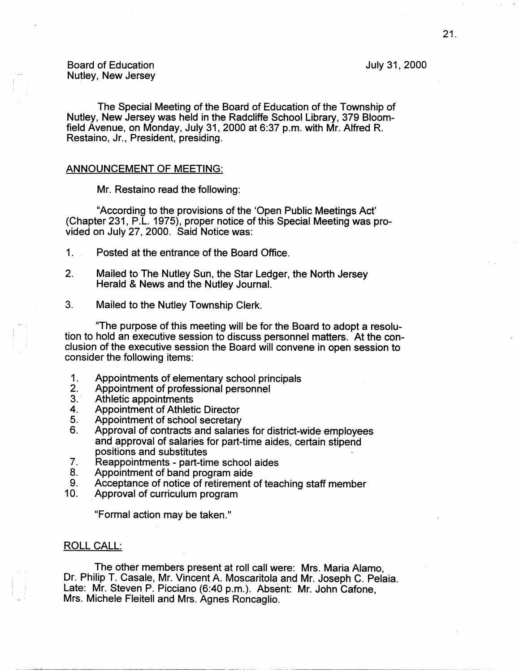July 31, 2000

------------ ------~- --

Board of Education Nutley, New Jersey

The Special Meeting of the Board of Education of the Township of Nutley, New Jersey was held in the Radcliffe School Library, 379 Bloomfield Avenue, on Monday, July 31, 2000 at 6:37 p.m. with Mr. Alfred R. Restaino, Jr., President, presiding.

## ANNOUNCEMENT OF MEETING:

Mr. Restaino read the following:

"According to the provisions of the 'Open Public Meetings Act' (Chapter 231, P.L. 1975), proper notice of this Special Meeting was provided on July 27, 2000. Said Notice was:

- 1. Posted at the entrance of the Board Office.
- 2. Mailed to The Nutley Sun, the Star Ledger, the North Jersey Herald & News and the Nutley Journal.
- 3. Mailed to the Nutley Township Clerk.

"The purpose of this meeting will be for the Board to adopt a resolution to hold an executive session to discuss personnel matters. At the conclusion of the executive session the Board will convene in open session to consider the following items:

- 1. Appointments of elementary school principals<br>2. Appointment of professional personnel
- 2. Appointment of professional personnel<br>3. Athletic appointments
- 3. Athletic appointments<br>4. Appointment of Athleti
- 4. Appointment of Athletic Director<br>5. Appointment of school secretary
- Appointment of school secretary
- 6. Approval of contracts and salaries for district-wide employees and approval of salaries for part-time aides, certain stipend positions and substitutes
- 7. Reappointments part-time school aides<br>8. Appointment of band program aide
- Appointment of band program aide
- 9. Acceptance of notice of retirement of teaching staff member<br>10. Approval of curriculum program
- Approval of curriculum program

"Formal action may be taken."

# ROLL CALL:

The other members present at roll call were: Mrs. Maria Alamo, Dr. Philip T. Casale, Mr. Vincent A. Moscaritola and Mr. Joseph C. Pelaia. Late: Mr. Steven P. Picciano (6:40 p.m.). Absent: Mr. John Cafone, Mrs. Michele Fleitell and Mrs. Agnes Roncaglio.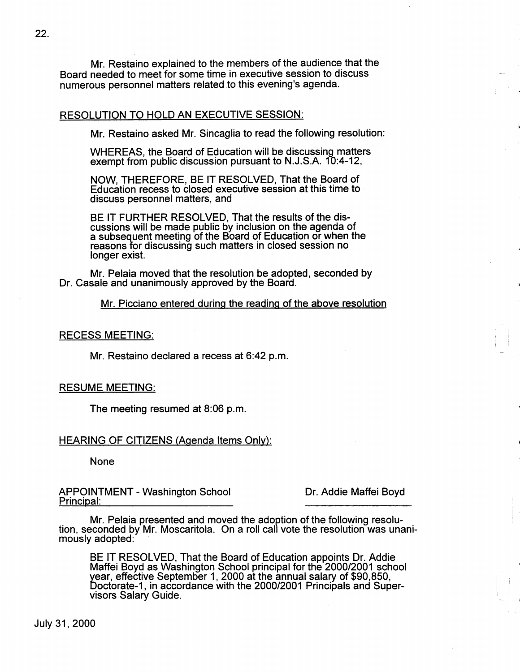Mr. Restaino explained to the members of the audience that the Board needed to meet for some time in executive session to discuss numerous personnel matters related to this evening's agenda.

## RESOLUTION TO HOLD AN EXECUTIVE SESSION:

Mr. Restaino asked Mr. Sincaglia to read the following resolution:

WHEREAS, the Board of Education will be discussing matters exempt from public discussion pursuant to N.J .S.A. 10:4-12,

NOW, THEREFORE, BE IT RESOLVED, That the Board of Education recess to closed executive session at this time to discuss personnel matters, and

BE IT FURTHER RESOLVED, That the results of the discussions will be made public by inclusion on the agenda of a subsequent meeting of the Board of Education or when the reasons for discussing such matters in closed session no longer exist.

Mr. Pelaia moved that the resolution be adopted, seconded by Dr. Casale and unanimously approved by the Board.

Mr. Picciano entered during the reading of the above resolution

#### RECESS MEETING:

Mr. Restaino declared a recess at 6:42 p.m.

## RESUME MEETING:

The meeting resumed at 8:06 p.m.

# HEARING OF CITIZENS (Agenda Items Only):

None

APPOINTMENT-Washington School Principal:

Dr. Addie Maffei Boyd

Mr. Pelaia presented and moved the adoption of the following resolu- tion, seconded by Mr. Moscaritola. On a roll call vote the resolution was unanimously adopted:

BE IT RESOLVED, That the Board of Education appoints Dr. Addie Maffei Boyd as Washington School principal for the 2000/2001 school year, effective September 1, 2000 at the annual salary of \$90,850, Doctorate-1, in accordance with the 2000/2001 Principals and Supervisors Salary Guide.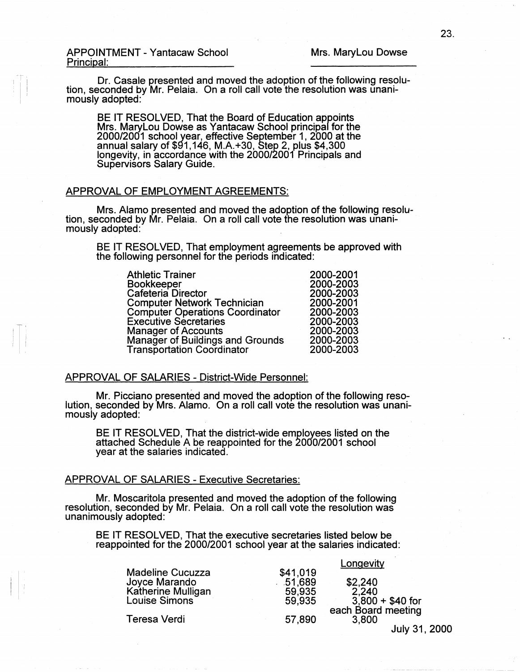<sup>T</sup><sup>i</sup> I

Dr. Casale presented and moved the adoption of the following resolu- tion, seconded by Mr. Pelaia. On a roll call vote the resolution was unanimously adopted:

BE IT RESOLVED, That the Board of Education appoints Mrs. Marylou Dowse as Yantacaw School principal for the 2000/2001 school year, effective September 1, 2000 at the annual salary of \$91,146, M.A.+30, Step 2, plus \$4,300 longevity, in accordance with the 2000/2001 Principals and Supervisors Salary Guide.

## APPROVAL OF EMPLOYMENT AGREEMENTS:

Mrs. Alamo presented and moved the adoption of the following resolution, seconded by Mr. Pelaia. On a roll call vote the resolution was unanimously adopted:

BE IT RESOLVED, That employment agreements be approved with the following personnel for the periods indicated:

| <b>Athletic Trainer</b>                | 2000-2001 |
|----------------------------------------|-----------|
| Bookkeeper                             | 2000-2003 |
| Cafeteria Director                     | 2000-2003 |
| <b>Computer Network Technician</b>     | 2000-2001 |
| <b>Computer Operations Coordinator</b> | 2000-2003 |
| <b>Executive Secretaries</b>           | 2000-2003 |
| <b>Manager of Accounts</b>             | 2000-2003 |
| Manager of Buildings and Grounds       | 2000-2003 |
| <b>Transportation Coordinator</b>      | 2000-2003 |
|                                        |           |

## APPROVAL OF SALARIES - District-Wide Personnel:

Mr. Picciano presented and moved the adoption of the following reso- lution, seconded by Mrs. Alamo. On a roll call vote the resolution was unanimously adopted:

BE IT RESOLVED, That the district-wide employees listed on the attached Schedule A be reappointed for the 2000/2001 school year at the salaries indicated.

#### APPROVAL OF SALARIES - Executive Secretaries:

Mr. Moscaritola presented and moved the adoption of the following resolution, seconded by Mr. Pelaia. On a roll call vote the resolution was unanimously adopted:

BE IT RESOLVED, That the executive secretaries listed below be reappointed for the 2000/2001 school year at the salaries indicated:

|                                                                |                               | Longevity                   |
|----------------------------------------------------------------|-------------------------------|-----------------------------|
| <b>Madeline Cucuzza</b><br>Joyce Marando<br>Katherine Mulligan | \$41,019<br>.51,689<br>59,935 | \$2,240<br>2.240            |
| Louise Simons                                                  | 59.935                        | $3,800 + $40$ for           |
| Teresa Verdi                                                   | 57,890                        | each Board meeting<br>3,800 |
|                                                                |                               | July 31, 2000               |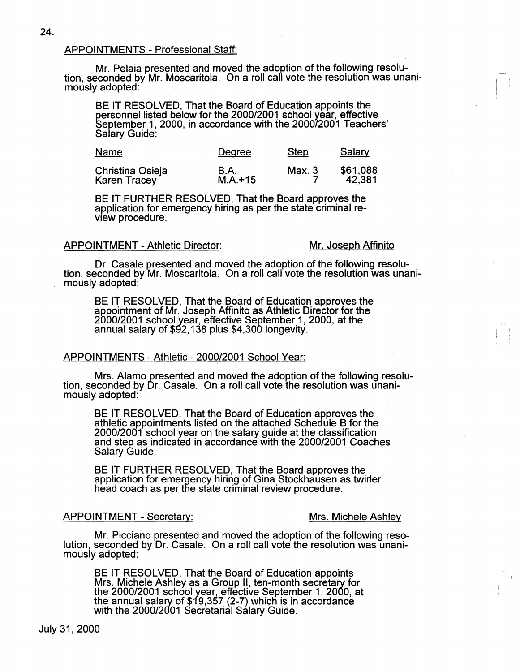## APPOINTMENTS - Professional Staff:

Mr. Pelaia presented and moved the adoption of the following resolu- tion, seconded by Mr. Moscaritola. On a roll call vote the resolution was unanimously adopted:

BE IT RESOLVED, That the Board of Education appoints the personnel listed below for the 2000/2001 school year, effective September 1, 2000, in accordance with the 2000/2001 Teachers' Salary Guide:

| <b>Name</b>         | Degree      | <b>Step</b> | Salary   |
|---------------------|-------------|-------------|----------|
| Christina Osieja    | <b>B.A.</b> | Max. 3      | \$61,088 |
| <b>Karen Tracey</b> | $M.A. + 15$ |             | 42.381   |

BE IT FURTHER RESOLVED, That the Board approves the application for emergency hiring as per the state criminal review procedure.

## APPOINTMENT - Athletic Director: Mr. Joseph Affinito

Dr. Casale presented and moved the adoption of the following resolu- tion, seconded by Mr. Moscaritola. On a roll call vote the resolution was unanimously adopted:

BE IT RESOLVED, That the Board of Education approves the appointment of Mr. Joseph Affinito as Athletic Director for the 2000/2001 school year, effective September 1, 2000, at the annual salary of \$92,138 plus \$4,300 longevity.

## APPOINTMENTS - Athletic - 2000/2001 School Year:

Mrs. Alamo presented and moved the adoption of the following resolu- tion, seconded by Dr. Casale. On a roll call vote the resolution was unanimously adopted:

BE IT RESOLVED, That the Board of Education approves the athletic appointments listed on the attached Schedule B for the 2000/2001 school year on the salary guide at the classification and step as indicated in accordance with the 2000/2001 Coaches Salary Guide.

BE IT FURTHER RESOLVED, That the Board approves the application for emergency hiring of Gina Stockhausen as twirler head coach as per the state criminal review procedure.

## APPOINTMENT - Secretary: Mrs. Michele Ashley

 $\left| \begin{array}{c} 1 \\ 1 \\ 1 \end{array} \right|$ 

Mr. Picciano presented and moved the adoption of the following reso- lution, seconded by Dr. Casale. On a roll call vote the resolution was unanimously adopted:

BE IT RESOLVED, That the Board of Education appoints Mrs. Michele Ashley as a Group II, ten-month secretary for the 2000/2001 school year, effective September 1, 2000, at the annual salary of \$19,357 (2-7) which is in accordance with the 2000/2001 Secretarial Salary Guide.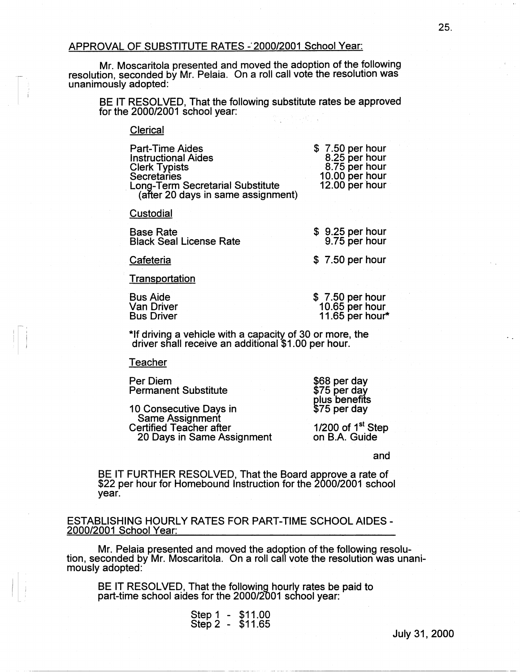# APPROVAL OF SUBSTITUTE RATES - 2000/2001 School Year:

Mr. Moscaritola presented and moved the adoption of the following resolution, seconded by Mr. Pelaia. On a roll call vote the resolution was unanimously adopted:

BE IT RESOLVED, That the following substitute rates be approved for the  $2000/2001$  school year:

## Clerical

| <b>Part-Time Aides</b>                  | $$7.50$ per hour                 |
|-----------------------------------------|----------------------------------|
| <b>Instructional Aides</b>              | 8.25 per hour                    |
| <b>Clerk Typists</b>                    | 8.75 per hour                    |
| Secretaries                             | 10.00 per hour<br>12.00 per hour |
| <b>Long-Term Secretarial Substitute</b> |                                  |
| (after 20 days in same assignment)      |                                  |

**Custodial** 

| <b>Base Rate</b>               |  |
|--------------------------------|--|
| <b>Black Seal License Rate</b> |  |

9.75 per hour

\$ 9.25 per hour

\$ 7 .50 per hour

**Cafeteria** 

**Transportation** 

Bus Aide Van Driver Bus Driver \$ 7 .50 per hour 10.65 per hour 11.65 per hour\*

\*If driving a vehicle with a capacity of 30 or more, the driver sflall receive an additional \$1.00 per hour.

#### **Teacher**

Per Diem Permanent Substitute

10 Consecutive Days in Same Assignment Certified Teacher after 20 Days in Same Assignment

plus benefits \$75 per day

\$68 per day \$75 per day

1/200 of  $1<sup>st</sup>$  Step on B.A. Guide

and

BE IT FURTHER RESOLVED, That the Board approve a rate of \$22 per hour for Homebound Instruction for the 2000/2001 school year.

ESTABLISHING HOURLY RATES FOR PART-TIME SCHOOL AIDES - 2000/2001 School Year:

Mr. Pelaia presented and moved the adoption of the following resolu- tion, seconded by Mr. Moscaritola. On a roll call vote the resolution was unanimously adopted:

BE IT RESOLVED, That the following hourly rates be paid to part-time school aides for the 2000/2001 school year:

> Step 1 - \$11.00 Step2 - \$11.65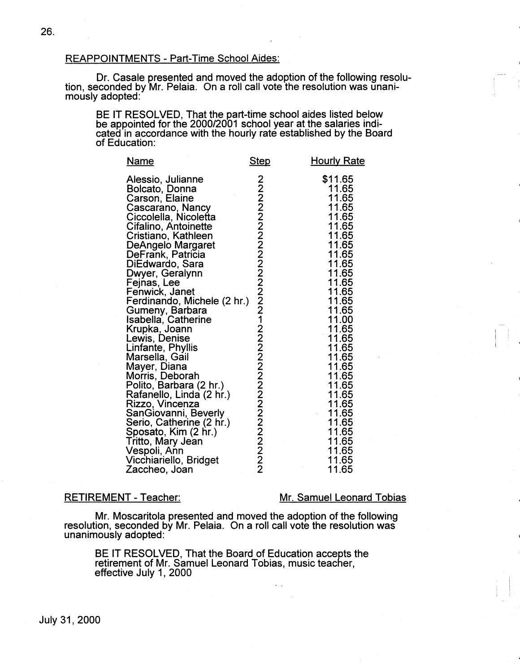## REAPPOINTMENTS - Part-Time School Aides:

Dr. Casale presented and moved the adoption of the following resolu- tion, seconded by Mr. Pelaia. On a roll call vote the resolution was unanimously adopted:

BE IT RESOLVED, That the part-time school aides listed below be appointed for the 2000/2001 school year at the salaries indicated in accordance with the hourly rate established by the Board of Education:

| <u>Name</u>                                                                                                                                                                                                                                                                                                                                                                                                                                                                                                                                                                                                                                                                                   | <b>Step</b>                      | <b>Hourly Rate</b>                                                                                                                                                                                                                                                                             |
|-----------------------------------------------------------------------------------------------------------------------------------------------------------------------------------------------------------------------------------------------------------------------------------------------------------------------------------------------------------------------------------------------------------------------------------------------------------------------------------------------------------------------------------------------------------------------------------------------------------------------------------------------------------------------------------------------|----------------------------------|------------------------------------------------------------------------------------------------------------------------------------------------------------------------------------------------------------------------------------------------------------------------------------------------|
| Alessio, Julianne<br>Bolcato, Donna<br>Carson, Elaine<br>Cascarano, Nancy<br>Ciccolella, Nicoletta<br>Cifalino, Antoinette<br>Cristiano, Kathleen<br>DeAngelo Margaret<br>DeFrank, Patricia<br>DiEdwardo, Sara<br>Dwyer, Geralynn<br>Fejnas, Lee<br>Fenwick, Janet<br>Ferdinando, Michele (2 hr.)<br>Gumeny, Barbara<br>Isabella, Catherine<br>Krupka, Joann<br>Lewis, Denise<br>Linfante, Phyllis<br>Marsella, Gail<br>Mayer, Diana<br>Morris, Deborah<br>Polito, Barbara (2 hr.)<br>Rafanello, Linda (2 hr.)<br>Rizzo, Vincenza<br>SanGiovanni, Beverly<br>Serio, Catherine (2 hr.)<br>Sposato, Kim (2 hr.)<br>Tritto, Mary Jean<br>Vespoli, Ann<br>Vicchiariello, Bridget<br>Zaccheo, Joan | 22222222222222212222222222222222 | \$11.65<br>11.65<br>11.65<br>11.65<br>11.65<br>11.65<br>11.65<br>11.65<br>11.65<br>11.65<br>11.65<br>11.65<br>11.65<br>11.65<br>11.65<br>11.00<br>11.65<br>11.65<br>11.65<br>11.65<br>11.65<br>11.65<br>11.65<br>11.65<br>11.65<br>11.65<br>11.65<br>11.65<br>11.65<br>11.65<br>11.65<br>11.65 |

## RETIREMENT - Teacher:

## Mr. Samuel Leonard Tobias

 $\mathbf{r}$ ' I I '

Mr. Moscaritola presented and moved the adoption of the following resolution, seconded by Mr. Pelaia. On a roll call vote the resolution was unanimously adopted:

BE IT RESOLVED, That the Board of Education accepts the retirement of Mr. Samuel Leonard Tobias, music teacher, effective July 1, 2000

July 31, 2000